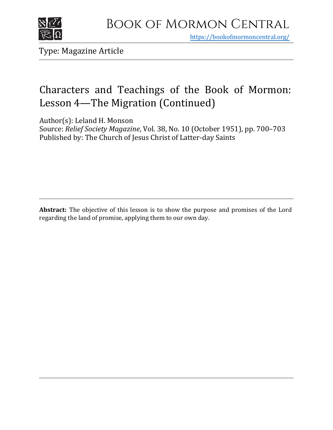

https[://bookofmormoncentral.org/](http://bookofmormoncentral.org/)

Type: Magazine Article

## Characters and Teachings of the Book of Mormon: Lesson 4—The Migration (Continued)

Author(s): Leland H. Monson

Source: *Relief Society Magazine*, Vol. 38, No. 10 (October 1951), pp. 700–703 Published by: The Church of Jesus Christ of Latter-day Saints

**Abstract:** The objective of this lesson is to show the purpose and promises of the Lord regarding the land of promise, applying them to our own day.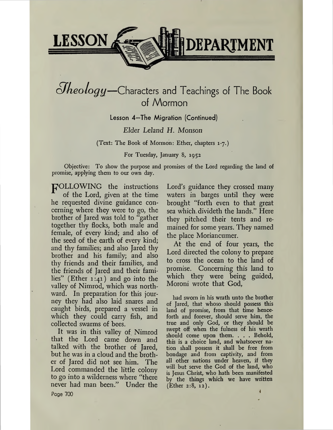

## *¿Jkeology—*Characters and Teachings of The Book of Mormon

## Lesson 4—The Migration (Continued)

## *Elder Leland H. Monson*

(Text: The Book of Mormon: Ether, chapters 1-7.)

For Tuesday, January 8, 1952

Objective: To show the purpose and promises of the Lord regarding the land of promise, applying them to our own day.

pOLLOWING the instructions of the Lord, given at the time he requested divine guidance concerning where they were to go, the brother of Jared was told to "gather together thy flocks, both male and female, of every kind; and also of the seed of the earth of every kind; and thy families; and also Jared thy brother and his family; and also thy friends and their families, and the friends of Jared and their families" (Ether  $1:41$ ) and go into the valley of Nimrod, which was northward. In preparation for this journey they had also laid snares and caught birds, prepared a vessel in which they could carry fish, and collected swarms of bees.

It was in this valley of Nimrod that the Lord came down and talked with the brother of Jared, but he was in a cloud and the brother of Jared did not see him. The Lord commanded the little colony to go into a wilderness where "there never had man been." Under the Page 700

Lord's guidance they crossed many waters in barges until they were brought "forth even to that great sea which divideth the lands." Here they pitched their tents and remained for some years. They named the place Moriancumer.

At the end of four years, the Lord directed the colony to prepare to cross the ocean to the land of promise. Concerning this land to which they were being guided, Moroni wrote that God,

had sworn in his wrath unto the brother of Jared, that whoso should possess this land of promise, from that time henceforth and forever, should serve him, the true and only God, or they should be swept off when the fulness of his wrath should come upon them. . . . Behold, this is a choice land, and whatsoever nation shall possess it shall be free from bondage and from captivity, and from all other nations under heaven, if they will but serve the God of the land, who is Jesus Christ, who hath been manifested by the things which we have written (Ether 2:8, 12). i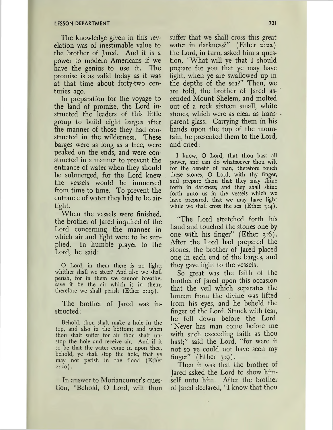The knowledge given in this revelation was of inestimable value to the brother of Jared. And it is a power to modern Americans if we have the genius to use it. The promise is as valid today as it was at that time about forty-two centuries ago.

In preparation for the voyage to the land of promise, the Lord instructed the leaders of this little group to build eight barges after the manner of those they had constructed in the wilderness. These barges were as long as a tree, were peaked on the ends, and were constructed in a manner to prevent the entrance of water when they should be submerged, for the Lord knew the vessels would be immersed from time to time. To prevent the entrance of water they had to be airtight.

When the vessels were finished, the brother of Jared inquired of the Lord concerning the manner in which air and light were to be supplied. In humble prayer to the Lord, he said:

O Lord, in them there is no light; whither shall we steer? And also we shall perish, for in them we cannot breathe, save it be the air which is in them; therefore we shall perish (Ether 2:19).

The brother of Jared was instructed:

Behold, thou shalt make a hole in the top, and also in the bottom; and when thou shalt suffer for air thou shalt unstop the hole and receive air. And if it so be that the water come in upon thee, behold, ye shall stop the hole, that ye may not perish in the flood (Ether  $2:20$ .

In answer to Moriancumer's question, "Behold, O Lord, wilt thou suffer that we shall cross this great water in darkness?" (Ether 2:22) the Lord, in turn, asked him a question, "What will ye that I should prepare for you that ye may have light, when ye are swallowed up in the depths of the sea?" Then, we are told, the brother of Jared ascended Mount Shelem, and molted out of a rock sixteen small, white stones, which were as clear as transparent glass. Carrying them in his hands upon the top of the mountain, he presented them to the Lord, and cried:

I know, O Lord, that thou hast all power, and can do whatsoever thou wilt for the benefit of man; therefore touch these stones, O Lord, with thy finger, and prepare them that they may shine forth in darkness; and they shall shine forth unto us in the vessels which we have prepared, that we may have light while we shall cross the sea (Ether 3:4).

"The Lord stretched forth his hand and touched the stones one by one with his finger" (Ether 3:6). After the Lord had prepared the stones, the brother of Jared placed one in each end of the barges, and they gave light to the vessels.

So great was the faith of the brother of Jared upon this occasion that the veil which separates the human from the divine was lifted from his eyes, and he beheld the finger of the Lord. Struck with fear, he fell down before the Lord. "Never has man come before me with such exceeding faith as thou hast;" said the Lord, "for were it not so ye could not have seen my finger" (Ether  $3:9$ ).

Then it was that the brother of Jared asked the Lord to show himself unto him. After the brother of Jared declared, "I know that thou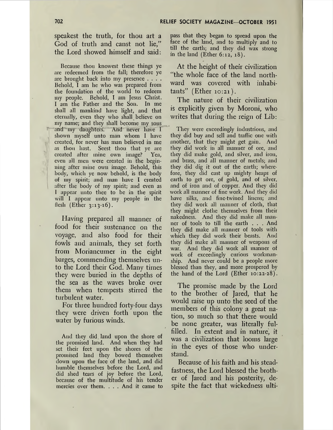speakest the truth, for thou art a God of truth and canst not lie," the Lord showed himself and said:

Because thou knowest these things ye are redeemed from the fall; therefore ye are brought back into my presence .... Behold, I am he who was prepared from the foundation of the world to redeem my people. Behold, I am Jesus Christ. I am the Father and the Son. In me shall all mankind have light, and that eternally, even they who shall believe on my name; and they shall become my sons and my daughters. And never have I shown myself unto man whom I have created, for never has man believed in me as thou hast. Seest thou that ye are created after mine own image? Yea, even all men were created in the beginning after mine own image. Behold, this body, which ye now behold, is the body of my spirit; and man have I created after the body of my spirit; and even as I appear unto thee to be in the spirit will I appear unto my people in the flesh (Ether  $3:13-16$ ).

Having prepared all manner of food for their sustenance on the voyage, and also food for their fowls and animals, they set forth from Moriancumer in the eight barges, commending themselves unto the Lord their God. Many times they were buried in the depths of the sea as the waves broke over them when tempests stirred the turbulent water.

For three hundred forty-four days they were driven forth upon the water by furious winds.

And they did land upon the shore of the promised land. And when they had set their feet upon the shores of the promised land they bowed themselves down upon the face of the land, and did humble themselves before the Lord, and did shed tears of joy before the Lord, because of the multitude of his tender mercies over them. . . . And it came to

pass that they began to spread upon the face of the land, and to multiply and to till the earth; and they did wax strong in the land (Ether 6:12, 18).

At the height of their civilization "the whole face of the land northward was covered with inhabitants" (Ether 10:21).

The nature of their civilization is explicitly given by Moroni, who writes that during the reign of Lib:

They were exceedingly industrious, and they did buy and sell and traffic one with another, that they might get gain. And they did work in all manner of ore, and they did make gold, and silver, and iron, and brass, and all manner of metals; and they did dig it out of the earth; wherefore, they did cast up mighty heaps of earth to get ore, of gold, and of silver, and of iron and of copper. And they did work all manner of fine work. And they did have silks, and fine-twined linens; and they did work all manner of cloth, that they might clothe themselves from their nakedness. And they did make all manner of tools to till the earth . . . And they did make all manner of tools with which they did work their beasts. And they did make all manner of weapons of war. And they did work all manner of work of exceedingly curious workmanship. And never could be a people more blessed than they, and more prospered by the hand of the Lord (Ether 10:22-28).

The promise made by the Lord to the brother of Jared, that he would raise up unto the seed of the members of this colony a great nation, so much so that there would be none greater, was literally fulfilled. In extent and in nature, it was a civilization that looms large in the eyes of those who understand.

Because of his faith and his steadfastness, the Lord blessed the brother of Jared and his posterity, despite the fact that wickedness ulti